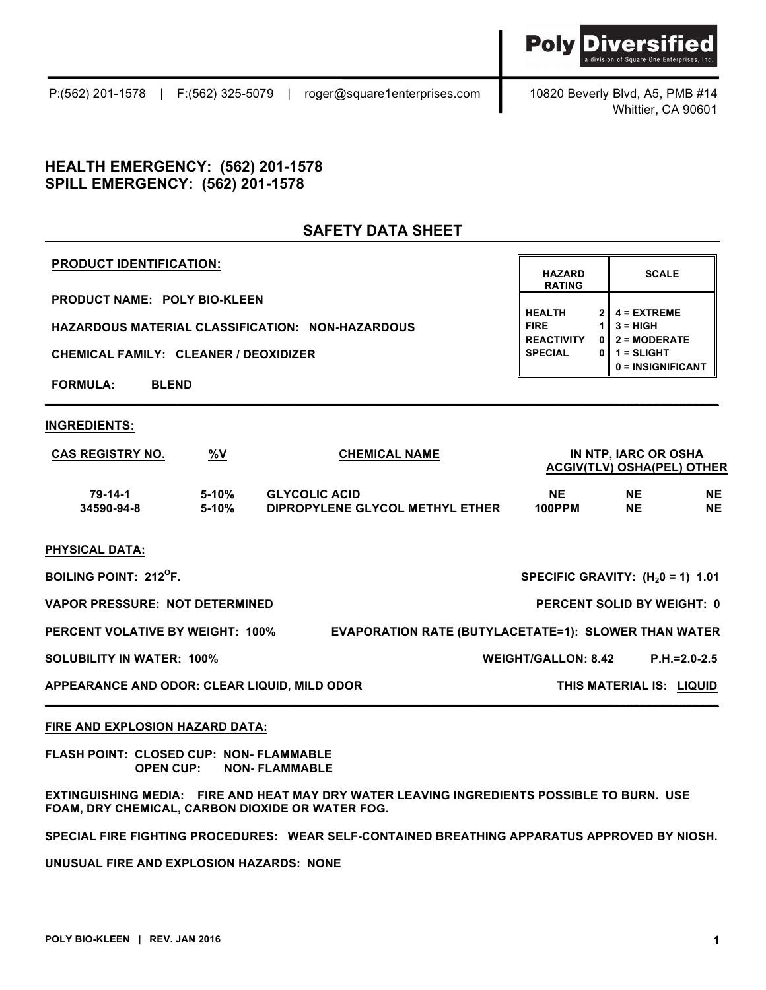Whittier, CA 90601

**SCALE**

**0 = INSIGNIFICANT**

**HAZARD RATING**

**HEALTH 2 4 = EXTREME**

**REACTIVITY 0 2 = MODERATE**

## **HEALTH EMERGENCY: (562) 201-1578 SPILL EMERGENCY: (562) 201-1578**

# **SAFETY DATA SHEET**

**\_\_\_\_\_\_\_\_\_\_\_\_\_\_\_\_\_\_\_\_\_\_\_\_\_\_\_\_\_\_\_\_\_\_\_\_\_\_\_\_\_\_\_\_\_\_\_\_\_\_\_\_\_\_\_\_\_\_\_\_\_\_\_\_\_\_\_\_\_\_\_\_\_\_\_\_\_\_\_\_\_\_\_\_\_\_\_\_\_\_\_\_\_\_\_\_\_\_\_\_\_\_**

## **PRODUCT IDENTIFICATION:**

**PRODUCT NAME: POLY BIO-KLEEN**

**HAZARDOUS MATERIAL CLASSIFICATION: NON-HAZARDOUS FIRE 1 3 = HIGH**

**CHEMICAL FAMILY: CLEANER / DEOXIDIZER SPECIAL 0 1 = SLIGHT** 

**FORMULA: BLEND**

## **INGREDIENTS:**

| $\frac{9}{8}V$<br><b>CAS REGISTRY NO.</b>    |                    | <b>CHEMICAL NAME</b>                                        | IN NTP, IARC OR OSHA<br><b>ACGIV(TLV) OSHA(PEL) OTHER</b> |                        |                   |  |
|----------------------------------------------|--------------------|-------------------------------------------------------------|-----------------------------------------------------------|------------------------|-------------------|--|
| 79-14-1<br>34590-94-8                        | $5-10%$<br>$5-10%$ | <b>GLYCOLIC ACID</b><br>DIPROPYLENE GLYCOL METHYL ETHER     | NE.<br>100PPM                                             | <b>NE</b><br><b>NE</b> | NE.<br>NE.        |  |
| <b>PHYSICAL DATA:</b>                        |                    |                                                             |                                                           |                        |                   |  |
| <b>BOILING POINT: 212<sup>°</sup>F.</b>      |                    |                                                             | SPECIFIC GRAVITY: $(H20 = 1)$ 1.01                        |                        |                   |  |
| <b>VAPOR PRESSURE: NOT DETERMINED</b>        |                    |                                                             | <b>PERCENT SOLID BY WEIGHT: 0</b>                         |                        |                   |  |
| <b>PERCENT VOLATIVE BY WEIGHT: 100%</b>      |                    | <b>EVAPORATION RATE (BUTYLACETATE=1): SLOWER THAN WATER</b> |                                                           |                        |                   |  |
| <b>SOLUBILITY IN WATER: 100%</b>             |                    |                                                             | <b>WEIGHT/GALLON: 8.42</b>                                |                        | $P.H = 2.0 - 2.5$ |  |
| APPEARANCE AND ODOR: CLEAR LIQUID, MILD ODOR |                    | THIS MATERIAL IS: LIQUID                                    |                                                           |                        |                   |  |

## **FIRE AND EXPLOSION HAZARD DATA:**

**FLASH POINT: CLOSED CUP: NON- FLAMMABLE OPEN CUP: NON- FLAMMABLE**

**EXTINGUISHING MEDIA: FIRE AND HEAT MAY DRY WATER LEAVING INGREDIENTS POSSIBLE TO BURN. USE FOAM, DRY CHEMICAL, CARBON DIOXIDE OR WATER FOG.** 

**SPECIAL FIRE FIGHTING PROCEDURES: WEAR SELF-CONTAINED BREATHING APPARATUS APPROVED BY NIOSH.**

**\_\_\_\_\_\_\_\_\_\_\_\_\_\_\_\_\_\_\_\_\_\_\_\_\_\_\_\_\_\_\_\_\_\_\_\_\_\_\_\_\_\_\_\_\_\_\_\_\_\_\_\_\_\_\_\_\_\_\_\_\_\_\_\_\_\_\_\_\_\_\_\_\_\_\_\_\_\_\_\_\_\_\_\_\_\_\_\_\_\_\_\_\_\_\_\_\_\_\_\_\_\_**

**UNUSUAL FIRE AND EXPLOSION HAZARDS: NONE**

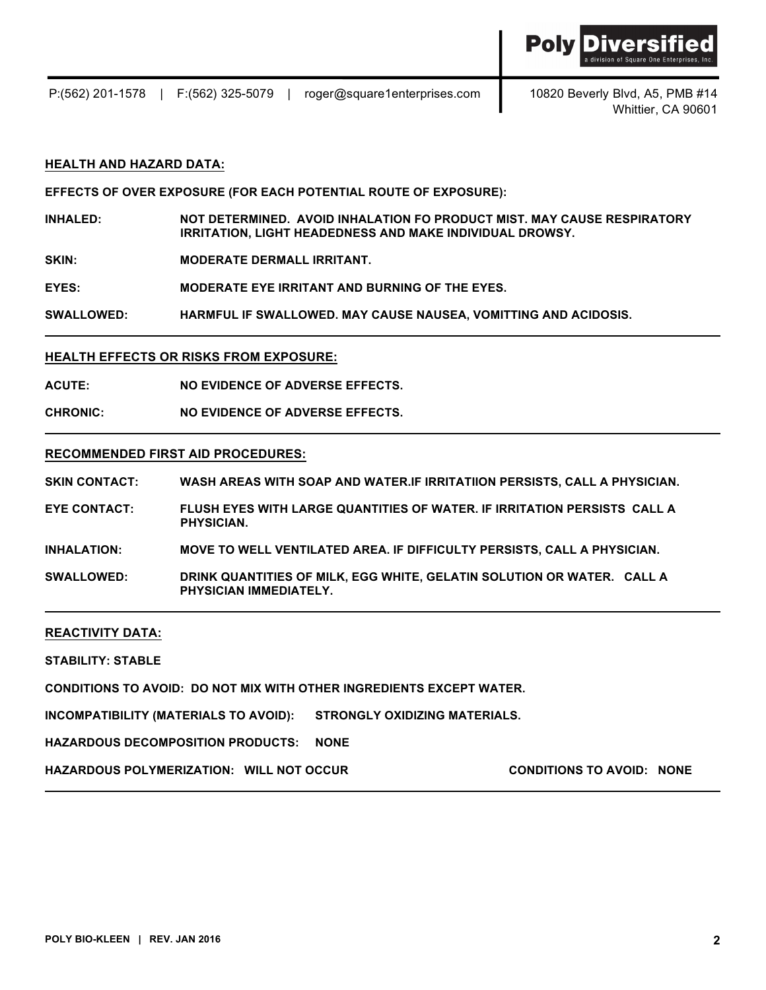

P:(562) 201-1578 | F:(562) 325-5079 | roger@square1enterprises.com 10820 Beverly Blvd, A5, PMB #14

Whittier, CA 90601

## **HEALTH AND HAZARD DATA:**

**EFFECTS OF OVER EXPOSURE (FOR EACH POTENTIAL ROUTE OF EXPOSURE):**

**INHALED: NOT DETERMINED. AVOID INHALATION FO PRODUCT MIST. MAY CAUSE RESPIRATORY IRRITATION, LIGHT HEADEDNESS AND MAKE INDIVIDUAL DROWSY.**

**SKIN: MODERATE DERMALL IRRITANT.**

**EYES: MODERATE EYE IRRITANT AND BURNING OF THE EYES.**

**SWALLOWED: HARMFUL IF SWALLOWED. MAY CAUSE NAUSEA, VOMITTING AND ACIDOSIS.**

## **HEALTH EFFECTS OR RISKS FROM EXPOSURE:**

**ACUTE: NO EVIDENCE OF ADVERSE EFFECTS.**

**CHRONIC: NO EVIDENCE OF ADVERSE EFFECTS.**

#### **RECOMMENDED FIRST AID PROCEDURES:**

**SKIN CONTACT: WASH AREAS WITH SOAP AND WATER.IF IRRITATIION PERSISTS, CALL A PHYSICIAN.**

**EYE CONTACT: FLUSH EYES WITH LARGE QUANTITIES OF WATER. IF IRRITATION PERSISTS CALL A PHYSICIAN.**

**INHALATION: MOVE TO WELL VENTILATED AREA. IF DIFFICULTY PERSISTS, CALL A PHYSICIAN.**

**SWALLOWED: DRINK QUANTITIES OF MILK, EGG WHITE, GELATIN SOLUTION OR WATER. CALL A PHYSICIAN IMMEDIATELY.** 

#### **REACTIVITY DATA:**

**STABILITY: STABLE**

**CONDITIONS TO AVOID: DO NOT MIX WITH OTHER INGREDIENTS EXCEPT WATER.** 

**INCOMPATIBILITY (MATERIALS TO AVOID): STRONGLY OXIDIZING MATERIALS.** 

**HAZARDOUS DECOMPOSITION PRODUCTS: NONE**

**HAZARDOUS POLYMERIZATION: WILL NOT OCCUR CONDITIONS TO AVOID: NONE**